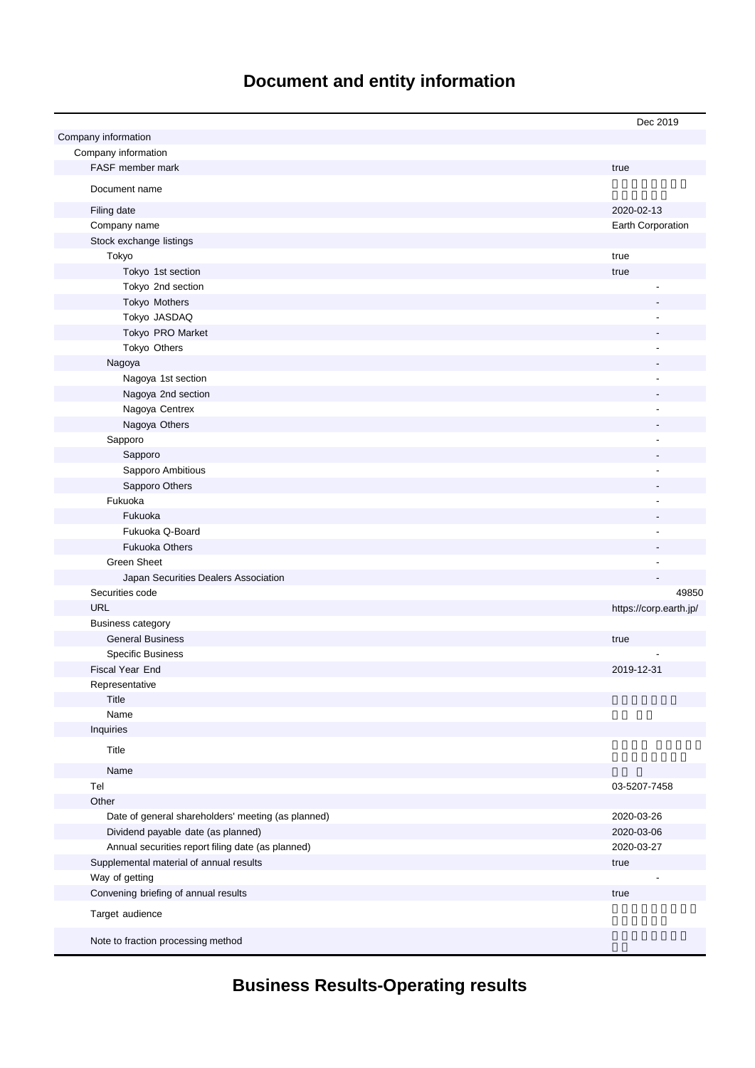# **Document and entity information**

|                                                    | Dec 2019               |
|----------------------------------------------------|------------------------|
| Company information                                |                        |
| Company information                                |                        |
| FASF member mark                                   | true                   |
| Document name                                      |                        |
|                                                    |                        |
| Filing date                                        | 2020-02-13             |
| Company name                                       | Earth Corporation      |
| Stock exchange listings<br>Tokyo                   |                        |
| Tokyo 1st section                                  | true                   |
| Tokyo 2nd section                                  | true                   |
| Tokyo Mothers                                      |                        |
| Tokyo JASDAQ                                       |                        |
| Tokyo PRO Market                                   |                        |
| Tokyo Others                                       |                        |
| Nagoya                                             |                        |
| Nagoya 1st section                                 |                        |
| Nagoya 2nd section                                 |                        |
| Nagoya Centrex                                     |                        |
| Nagoya Others                                      |                        |
| Sapporo                                            |                        |
| Sapporo                                            |                        |
| Sapporo Ambitious                                  |                        |
| Sapporo Others                                     |                        |
| Fukuoka                                            |                        |
| Fukuoka                                            |                        |
| Fukuoka Q-Board                                    |                        |
| <b>Fukuoka Others</b>                              |                        |
| <b>Green Sheet</b>                                 |                        |
| Japan Securities Dealers Association               |                        |
| Securities code                                    | 49850                  |
| <b>URL</b>                                         | https://corp.earth.jp/ |
| <b>Business category</b>                           |                        |
| <b>General Business</b>                            | true                   |
| <b>Specific Business</b>                           |                        |
| Fiscal Year End                                    | 2019-12-31             |
| Representative                                     |                        |
| Title                                              |                        |
| Name                                               |                        |
| Inquiries                                          |                        |
| Title                                              |                        |
| Name                                               |                        |
| Tel                                                | 03-5207-7458           |
| Other                                              |                        |
| Date of general shareholders' meeting (as planned) | 2020-03-26             |
| Dividend payable date (as planned)                 | 2020-03-06             |
| Annual securities report filing date (as planned)  | 2020-03-27             |
| Supplemental material of annual results            | true                   |
| Way of getting                                     |                        |
| Convening briefing of annual results               | true                   |
|                                                    |                        |
| Target audience                                    |                        |
| Note to fraction processing method                 |                        |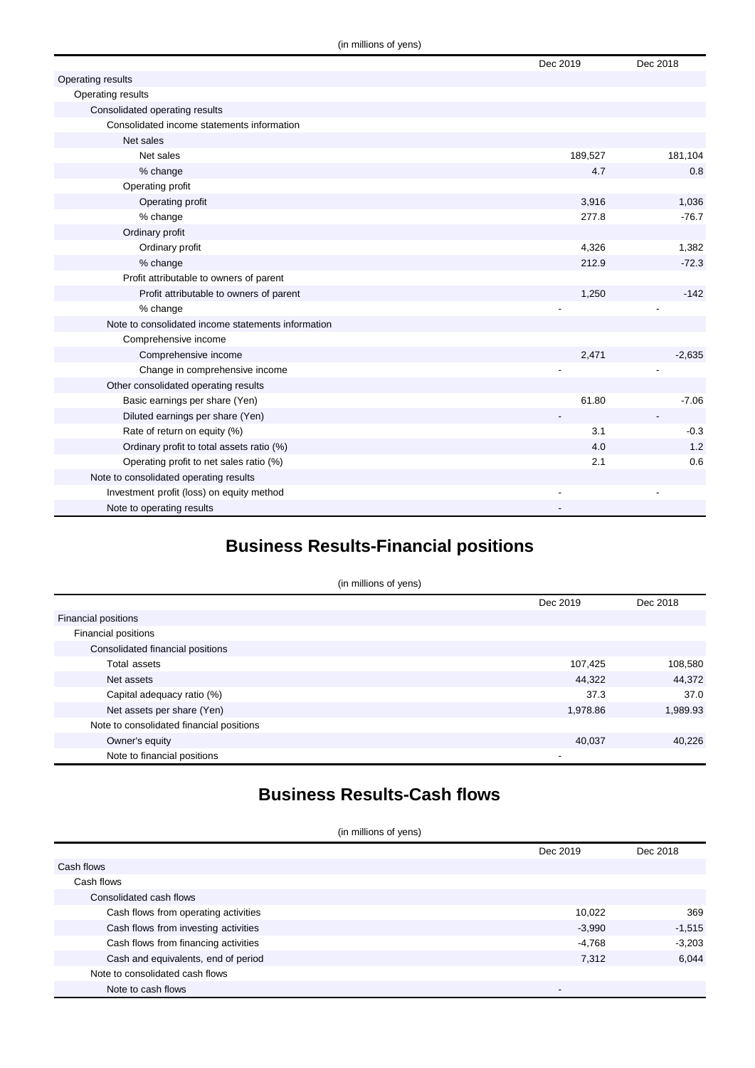|                                                    | Dec 2019 | Dec 2018 |
|----------------------------------------------------|----------|----------|
| Operating results                                  |          |          |
| Operating results                                  |          |          |
| Consolidated operating results                     |          |          |
| Consolidated income statements information         |          |          |
| Net sales                                          |          |          |
| Net sales                                          | 189,527  | 181,104  |
| % change                                           | 4.7      | 0.8      |
| Operating profit                                   |          |          |
| Operating profit                                   | 3,916    | 1,036    |
| % change                                           | 277.8    | $-76.7$  |
| Ordinary profit                                    |          |          |
| Ordinary profit                                    | 4,326    | 1,382    |
| % change                                           | 212.9    | $-72.3$  |
| Profit attributable to owners of parent            |          |          |
| Profit attributable to owners of parent            | 1,250    | $-142$   |
| % change                                           |          |          |
| Note to consolidated income statements information |          |          |
| Comprehensive income                               |          |          |
| Comprehensive income                               | 2,471    | $-2,635$ |
| Change in comprehensive income                     |          |          |
| Other consolidated operating results               |          |          |
| Basic earnings per share (Yen)                     | 61.80    | $-7.06$  |
| Diluted earnings per share (Yen)                   |          |          |
| Rate of return on equity (%)                       | 3.1      | $-0.3$   |
| Ordinary profit to total assets ratio (%)          | 4.0      | 1.2      |
| Operating profit to net sales ratio (%)            | 2.1      | 0.6      |
| Note to consolidated operating results             |          |          |
| Investment profit (loss) on equity method          |          |          |
| Note to operating results                          |          |          |

## **Business Results-Financial positions**

| (in millions of yens)                    |          |          |  |
|------------------------------------------|----------|----------|--|
|                                          | Dec 2019 | Dec 2018 |  |
| <b>Financial positions</b>               |          |          |  |
| Financial positions                      |          |          |  |
| Consolidated financial positions         |          |          |  |
| Total assets                             | 107,425  | 108,580  |  |
| Net assets                               | 44,322   | 44,372   |  |
| Capital adequacy ratio (%)               | 37.3     | 37.0     |  |
| Net assets per share (Yen)               | 1,978.86 | 1,989.93 |  |
| Note to consolidated financial positions |          |          |  |
| Owner's equity                           | 40,037   | 40,226   |  |
| Note to financial positions              | -        |          |  |

## **Business Results-Cash flows**

(in millions of yens)

|                                      | Dec 2019                 | Dec 2018 |
|--------------------------------------|--------------------------|----------|
| Cash flows                           |                          |          |
| Cash flows                           |                          |          |
| Consolidated cash flows              |                          |          |
| Cash flows from operating activities | 10,022                   | 369      |
| Cash flows from investing activities | $-3,990$                 | $-1,515$ |
| Cash flows from financing activities | $-4,768$                 | $-3,203$ |
| Cash and equivalents, end of period  | 7.312                    | 6.044    |
| Note to consolidated cash flows      |                          |          |
| Note to cash flows                   | $\overline{\phantom{a}}$ |          |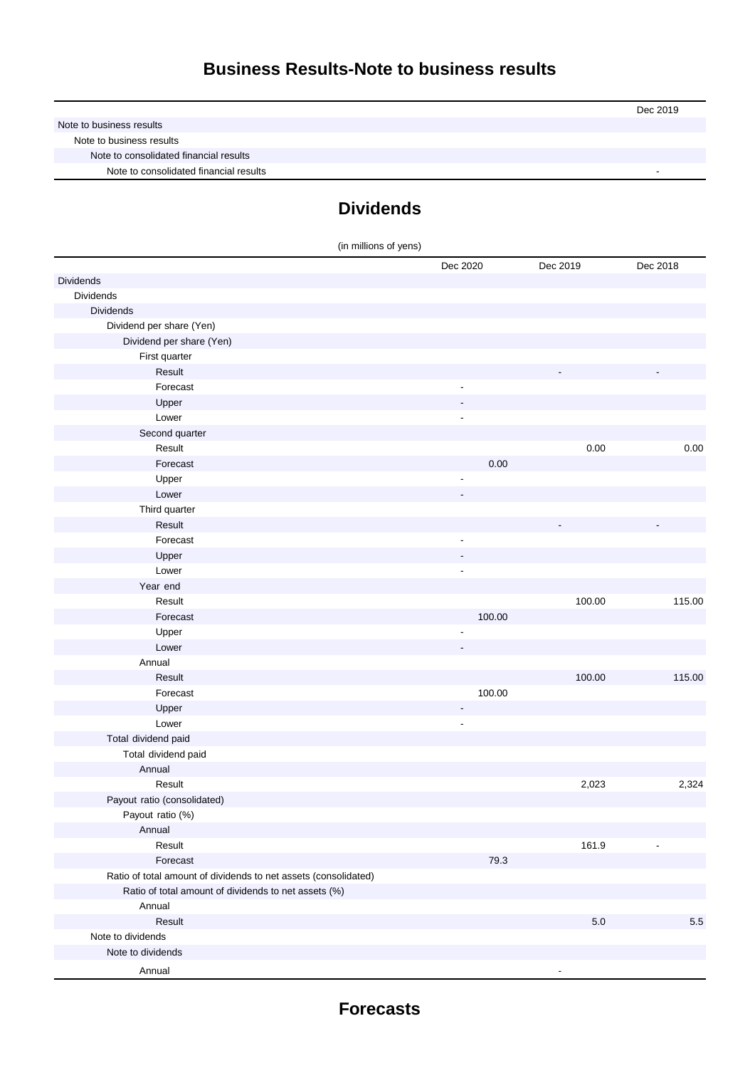|                                        | Dec 2019 |
|----------------------------------------|----------|
| Note to business results               |          |
| Note to business results               |          |
| Note to consolidated financial results |          |
| Note to consolidated financial results |          |

## **Dividends**

| Dec 2020<br>Dec 2019<br>Dec 2018<br>Dividends<br>Dividends<br><b>Dividends</b><br>Dividend per share (Yen)<br>Dividend per share (Yen)<br>First quarter<br>Result<br>Forecast<br>Upper<br>Lower<br>$\overline{\phantom{a}}$<br>Second quarter<br>Result<br>0.00<br>Forecast<br>0.00<br>Upper<br>$\overline{\phantom{a}}$<br>Lower<br>Third quarter<br>Result<br>Forecast<br>$\overline{\phantom{a}}$<br>Upper<br>Lower<br>$\overline{\phantom{a}}$<br>Year end<br>100.00<br>115.00<br>Result<br>Forecast<br>100.00<br>Upper<br>Lower<br>Annual<br>Result<br>100.00<br>115.00<br>Forecast<br>100.00<br>Upper<br>-<br>Lower<br>$\overline{\phantom{a}}$<br>Total dividend paid<br>Total dividend paid<br>Annual<br>Result<br>2,023<br>2,324<br>Payout ratio (consolidated)<br>Payout ratio (%)<br>Annual<br>Result<br>161.9<br>$\overline{\phantom{a}}$<br>Forecast<br>79.3<br>Ratio of total amount of dividends to net assets (consolidated)<br>Ratio of total amount of dividends to net assets (%)<br>Annual<br>Result<br>$5.0$<br>5.5<br>Note to dividends | (in millions of yens) |  |  |
|---------------------------------------------------------------------------------------------------------------------------------------------------------------------------------------------------------------------------------------------------------------------------------------------------------------------------------------------------------------------------------------------------------------------------------------------------------------------------------------------------------------------------------------------------------------------------------------------------------------------------------------------------------------------------------------------------------------------------------------------------------------------------------------------------------------------------------------------------------------------------------------------------------------------------------------------------------------------------------------------------------------------------------------------------------------|-----------------------|--|--|
| 0.00                                                                                                                                                                                                                                                                                                                                                                                                                                                                                                                                                                                                                                                                                                                                                                                                                                                                                                                                                                                                                                                          |                       |  |  |
|                                                                                                                                                                                                                                                                                                                                                                                                                                                                                                                                                                                                                                                                                                                                                                                                                                                                                                                                                                                                                                                               |                       |  |  |
|                                                                                                                                                                                                                                                                                                                                                                                                                                                                                                                                                                                                                                                                                                                                                                                                                                                                                                                                                                                                                                                               |                       |  |  |
|                                                                                                                                                                                                                                                                                                                                                                                                                                                                                                                                                                                                                                                                                                                                                                                                                                                                                                                                                                                                                                                               |                       |  |  |
|                                                                                                                                                                                                                                                                                                                                                                                                                                                                                                                                                                                                                                                                                                                                                                                                                                                                                                                                                                                                                                                               |                       |  |  |
|                                                                                                                                                                                                                                                                                                                                                                                                                                                                                                                                                                                                                                                                                                                                                                                                                                                                                                                                                                                                                                                               |                       |  |  |
|                                                                                                                                                                                                                                                                                                                                                                                                                                                                                                                                                                                                                                                                                                                                                                                                                                                                                                                                                                                                                                                               |                       |  |  |
|                                                                                                                                                                                                                                                                                                                                                                                                                                                                                                                                                                                                                                                                                                                                                                                                                                                                                                                                                                                                                                                               |                       |  |  |
|                                                                                                                                                                                                                                                                                                                                                                                                                                                                                                                                                                                                                                                                                                                                                                                                                                                                                                                                                                                                                                                               |                       |  |  |
|                                                                                                                                                                                                                                                                                                                                                                                                                                                                                                                                                                                                                                                                                                                                                                                                                                                                                                                                                                                                                                                               |                       |  |  |
|                                                                                                                                                                                                                                                                                                                                                                                                                                                                                                                                                                                                                                                                                                                                                                                                                                                                                                                                                                                                                                                               |                       |  |  |
|                                                                                                                                                                                                                                                                                                                                                                                                                                                                                                                                                                                                                                                                                                                                                                                                                                                                                                                                                                                                                                                               |                       |  |  |
|                                                                                                                                                                                                                                                                                                                                                                                                                                                                                                                                                                                                                                                                                                                                                                                                                                                                                                                                                                                                                                                               |                       |  |  |
|                                                                                                                                                                                                                                                                                                                                                                                                                                                                                                                                                                                                                                                                                                                                                                                                                                                                                                                                                                                                                                                               |                       |  |  |
|                                                                                                                                                                                                                                                                                                                                                                                                                                                                                                                                                                                                                                                                                                                                                                                                                                                                                                                                                                                                                                                               |                       |  |  |
|                                                                                                                                                                                                                                                                                                                                                                                                                                                                                                                                                                                                                                                                                                                                                                                                                                                                                                                                                                                                                                                               |                       |  |  |
|                                                                                                                                                                                                                                                                                                                                                                                                                                                                                                                                                                                                                                                                                                                                                                                                                                                                                                                                                                                                                                                               |                       |  |  |
|                                                                                                                                                                                                                                                                                                                                                                                                                                                                                                                                                                                                                                                                                                                                                                                                                                                                                                                                                                                                                                                               |                       |  |  |
|                                                                                                                                                                                                                                                                                                                                                                                                                                                                                                                                                                                                                                                                                                                                                                                                                                                                                                                                                                                                                                                               |                       |  |  |
|                                                                                                                                                                                                                                                                                                                                                                                                                                                                                                                                                                                                                                                                                                                                                                                                                                                                                                                                                                                                                                                               |                       |  |  |
|                                                                                                                                                                                                                                                                                                                                                                                                                                                                                                                                                                                                                                                                                                                                                                                                                                                                                                                                                                                                                                                               |                       |  |  |
|                                                                                                                                                                                                                                                                                                                                                                                                                                                                                                                                                                                                                                                                                                                                                                                                                                                                                                                                                                                                                                                               |                       |  |  |
|                                                                                                                                                                                                                                                                                                                                                                                                                                                                                                                                                                                                                                                                                                                                                                                                                                                                                                                                                                                                                                                               |                       |  |  |
|                                                                                                                                                                                                                                                                                                                                                                                                                                                                                                                                                                                                                                                                                                                                                                                                                                                                                                                                                                                                                                                               |                       |  |  |
|                                                                                                                                                                                                                                                                                                                                                                                                                                                                                                                                                                                                                                                                                                                                                                                                                                                                                                                                                                                                                                                               |                       |  |  |
|                                                                                                                                                                                                                                                                                                                                                                                                                                                                                                                                                                                                                                                                                                                                                                                                                                                                                                                                                                                                                                                               |                       |  |  |
|                                                                                                                                                                                                                                                                                                                                                                                                                                                                                                                                                                                                                                                                                                                                                                                                                                                                                                                                                                                                                                                               |                       |  |  |
|                                                                                                                                                                                                                                                                                                                                                                                                                                                                                                                                                                                                                                                                                                                                                                                                                                                                                                                                                                                                                                                               |                       |  |  |
|                                                                                                                                                                                                                                                                                                                                                                                                                                                                                                                                                                                                                                                                                                                                                                                                                                                                                                                                                                                                                                                               |                       |  |  |
|                                                                                                                                                                                                                                                                                                                                                                                                                                                                                                                                                                                                                                                                                                                                                                                                                                                                                                                                                                                                                                                               |                       |  |  |
|                                                                                                                                                                                                                                                                                                                                                                                                                                                                                                                                                                                                                                                                                                                                                                                                                                                                                                                                                                                                                                                               |                       |  |  |
|                                                                                                                                                                                                                                                                                                                                                                                                                                                                                                                                                                                                                                                                                                                                                                                                                                                                                                                                                                                                                                                               |                       |  |  |
|                                                                                                                                                                                                                                                                                                                                                                                                                                                                                                                                                                                                                                                                                                                                                                                                                                                                                                                                                                                                                                                               |                       |  |  |
|                                                                                                                                                                                                                                                                                                                                                                                                                                                                                                                                                                                                                                                                                                                                                                                                                                                                                                                                                                                                                                                               |                       |  |  |
|                                                                                                                                                                                                                                                                                                                                                                                                                                                                                                                                                                                                                                                                                                                                                                                                                                                                                                                                                                                                                                                               |                       |  |  |
|                                                                                                                                                                                                                                                                                                                                                                                                                                                                                                                                                                                                                                                                                                                                                                                                                                                                                                                                                                                                                                                               |                       |  |  |
|                                                                                                                                                                                                                                                                                                                                                                                                                                                                                                                                                                                                                                                                                                                                                                                                                                                                                                                                                                                                                                                               |                       |  |  |
|                                                                                                                                                                                                                                                                                                                                                                                                                                                                                                                                                                                                                                                                                                                                                                                                                                                                                                                                                                                                                                                               |                       |  |  |
|                                                                                                                                                                                                                                                                                                                                                                                                                                                                                                                                                                                                                                                                                                                                                                                                                                                                                                                                                                                                                                                               |                       |  |  |
|                                                                                                                                                                                                                                                                                                                                                                                                                                                                                                                                                                                                                                                                                                                                                                                                                                                                                                                                                                                                                                                               |                       |  |  |
|                                                                                                                                                                                                                                                                                                                                                                                                                                                                                                                                                                                                                                                                                                                                                                                                                                                                                                                                                                                                                                                               |                       |  |  |
|                                                                                                                                                                                                                                                                                                                                                                                                                                                                                                                                                                                                                                                                                                                                                                                                                                                                                                                                                                                                                                                               |                       |  |  |
|                                                                                                                                                                                                                                                                                                                                                                                                                                                                                                                                                                                                                                                                                                                                                                                                                                                                                                                                                                                                                                                               |                       |  |  |
|                                                                                                                                                                                                                                                                                                                                                                                                                                                                                                                                                                                                                                                                                                                                                                                                                                                                                                                                                                                                                                                               |                       |  |  |
|                                                                                                                                                                                                                                                                                                                                                                                                                                                                                                                                                                                                                                                                                                                                                                                                                                                                                                                                                                                                                                                               |                       |  |  |
|                                                                                                                                                                                                                                                                                                                                                                                                                                                                                                                                                                                                                                                                                                                                                                                                                                                                                                                                                                                                                                                               | Note to dividends     |  |  |
| Annual                                                                                                                                                                                                                                                                                                                                                                                                                                                                                                                                                                                                                                                                                                                                                                                                                                                                                                                                                                                                                                                        |                       |  |  |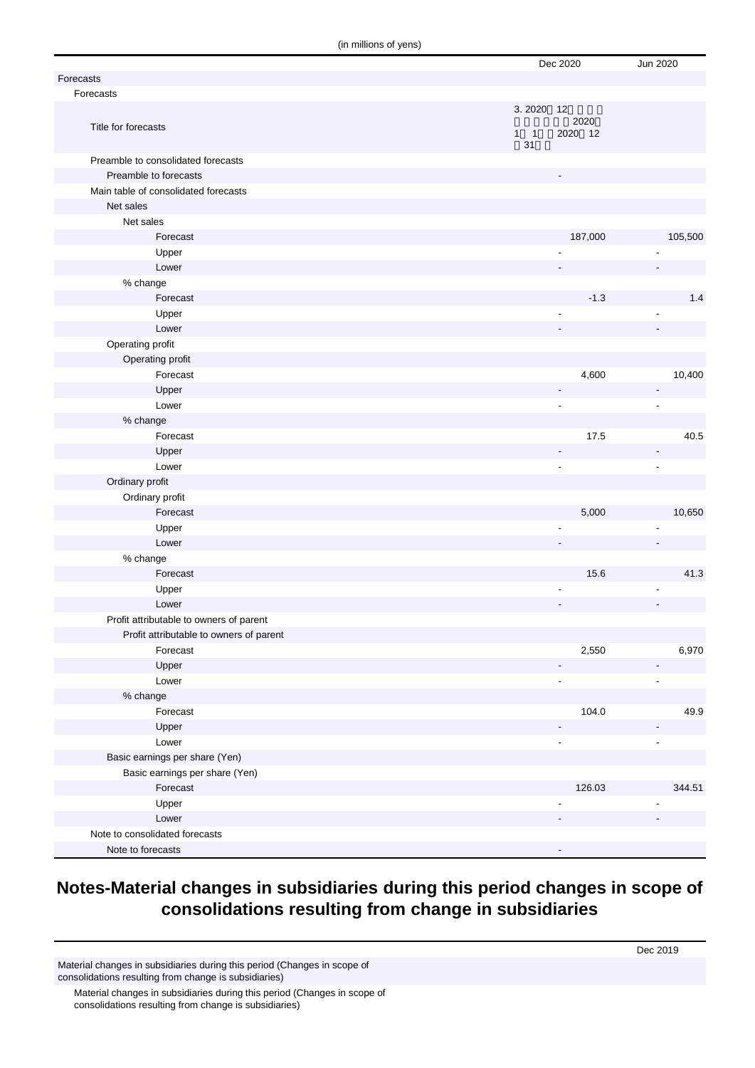(in millions of yens)

| Forecasts                               |             | Dec 2020        | Jun 2020       |
|-----------------------------------------|-------------|-----------------|----------------|
| Forecasts                               |             |                 |                |
|                                         | 3.2020 12   |                 |                |
| Title for forecasts                     | $1 \quad 1$ | 2020<br>2020 12 |                |
| Preamble to consolidated forecasts      | 31          |                 |                |
| Preamble to forecasts                   |             |                 |                |
| Main table of consolidated forecasts    |             |                 |                |
| Net sales                               |             |                 |                |
| Net sales                               |             |                 |                |
| Forecast                                |             | 187,000         | 105,500        |
| Upper                                   |             |                 |                |
| Lower                                   |             |                 |                |
| % change                                |             |                 |                |
| Forecast                                |             | $-1.3$          | 1.4            |
| Upper                                   |             | ÷,              |                |
| Lower                                   |             |                 |                |
| Operating profit                        |             |                 |                |
| Operating profit                        |             |                 |                |
| Forecast                                |             | 4,600           | 10,400         |
| Upper                                   |             |                 |                |
| Lower                                   |             | Ĭ.              | $\overline{a}$ |
| % change                                |             |                 |                |
| Forecast                                |             | 17.5            | 40.5           |
| Upper                                   |             |                 |                |
| Lower                                   |             |                 | ÷,             |
| Ordinary profit                         |             |                 |                |
| Ordinary profit                         |             |                 |                |
| Forecast                                |             | 5,000           | 10,650         |
| Upper                                   |             |                 |                |
| Lower                                   |             |                 |                |
| % change                                |             |                 |                |
| Forecast                                |             | 15.6            | 41.3           |
| Upper                                   |             |                 |                |
| Lower                                   |             |                 |                |
| Profit attributable to owners of parent |             |                 |                |
| Profit attributable to owners of parent |             |                 |                |
| Forecast                                |             | 2,550           | 6,970          |
| Upper                                   |             |                 |                |
| Lower                                   |             |                 |                |
| % change                                |             |                 |                |
| Forecast                                |             | 104.0           | 49.9           |
| Upper                                   |             |                 |                |
| Lower                                   |             |                 |                |
| Basic earnings per share (Yen)          |             |                 |                |
| Basic earnings per share (Yen)          |             |                 |                |
| Forecast                                |             | 126.03          | 344.51         |
| Upper                                   |             |                 |                |
| Lower                                   |             |                 |                |
| Note to consolidated forecasts          |             |                 |                |
| Note to forecasts                       |             |                 |                |

#### **Notes-Material changes in subsidiaries during this period changes in scope of consolidations resulting from change in subsidiaries**

Material changes in subsidiaries during this period (Changes in scope of consolidations resulting from change is subsidiaries)

Material changes in subsidiaries during this period (Changes in scope of consolidations resulting from change is subsidiaries)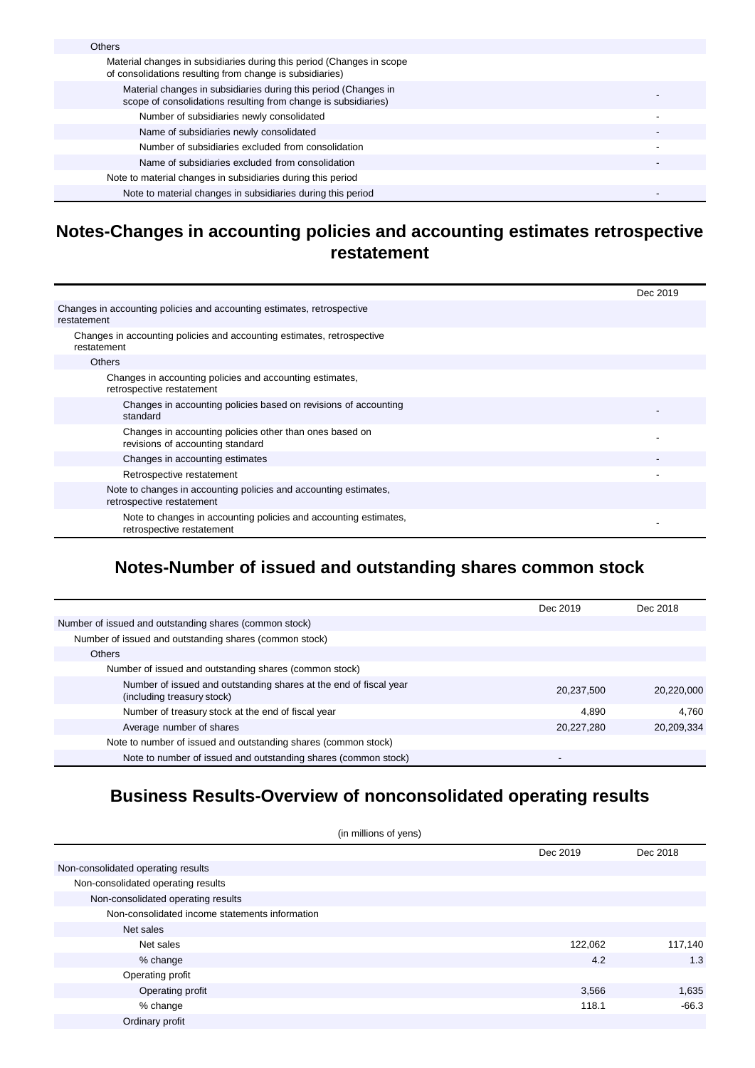| <b>Others</b>                                                                                                                     |  |
|-----------------------------------------------------------------------------------------------------------------------------------|--|
| Material changes in subsidiaries during this period (Changes in scope<br>of consolidations resulting from change is subsidiaries) |  |
| Material changes in subsidiaries during this period (Changes in<br>scope of consolidations resulting from change is subsidiaries) |  |
| Number of subsidiaries newly consolidated                                                                                         |  |
| Name of subsidiaries newly consolidated                                                                                           |  |
| Number of subsidiaries excluded from consolidation                                                                                |  |
| Name of subsidiaries excluded from consolidation                                                                                  |  |
| Note to material changes in subsidiaries during this period                                                                       |  |
| Note to material changes in subsidiaries during this period                                                                       |  |

#### **Notes-Changes in accounting policies and accounting estimates retrospective restatement**

|                                                                                               | Dec 2019 |
|-----------------------------------------------------------------------------------------------|----------|
| Changes in accounting policies and accounting estimates, retrospective<br>restatement         |          |
| Changes in accounting policies and accounting estimates, retrospective<br>restatement         |          |
| <b>Others</b>                                                                                 |          |
| Changes in accounting policies and accounting estimates,<br>retrospective restatement         |          |
| Changes in accounting policies based on revisions of accounting<br>standard                   |          |
| Changes in accounting policies other than ones based on<br>revisions of accounting standard   |          |
| Changes in accounting estimates                                                               |          |
| Retrospective restatement                                                                     |          |
| Note to changes in accounting policies and accounting estimates,<br>retrospective restatement |          |
| Note to changes in accounting policies and accounting estimates,<br>retrospective restatement |          |

## **Notes-Number of issued and outstanding shares common stock**

|                                                                                                 | Dec 2019   | Dec 2018   |
|-------------------------------------------------------------------------------------------------|------------|------------|
| Number of issued and outstanding shares (common stock)                                          |            |            |
| Number of issued and outstanding shares (common stock)                                          |            |            |
| <b>Others</b>                                                                                   |            |            |
| Number of issued and outstanding shares (common stock)                                          |            |            |
| Number of issued and outstanding shares at the end of fiscal year<br>(including treasury stock) | 20,237,500 | 20,220,000 |
| Number of treasury stock at the end of fiscal year                                              | 4.890      | 4.760      |
| Average number of shares                                                                        | 20,227,280 | 20.209.334 |
| Note to number of issued and outstanding shares (common stock)                                  |            |            |
| Note to number of issued and outstanding shares (common stock)                                  | $\,$       |            |

#### **Business Results-Overview of nonconsolidated operating results**

| (in millions of yens)                          |          |          |  |
|------------------------------------------------|----------|----------|--|
|                                                | Dec 2019 | Dec 2018 |  |
| Non-consolidated operating results             |          |          |  |
| Non-consolidated operating results             |          |          |  |
| Non-consolidated operating results             |          |          |  |
| Non-consolidated income statements information |          |          |  |
| Net sales                                      |          |          |  |
| Net sales                                      | 122,062  | 117,140  |  |
| % change                                       | 4.2      | 1.3      |  |
| Operating profit                               |          |          |  |
| Operating profit                               | 3,566    | 1,635    |  |
| % change                                       | 118.1    | $-66.3$  |  |
| Ordinary profit                                |          |          |  |